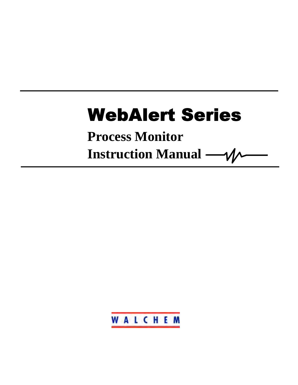# **WebAlert Series**

**Process Monitor**

**Instruction Manual** 

WALCHEM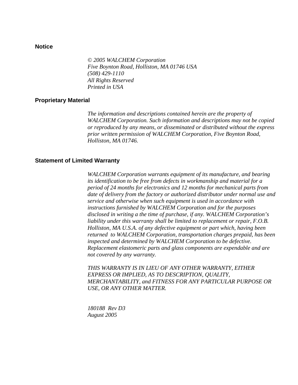#### **Notice**

*© 2005 WALCHEM Corporation Five Boynton Road, Holliston, MA 01746 USA (508) 429-1110 All Rights Reserved Printed in USA* 

#### **Proprietary Material**

*The information and descriptions contained herein are the property of WALCHEM Corporation. Such information and descriptions may not be copied or reproduced by any means, or disseminated or distributed without the express prior written permission of WALCHEM Corporation, Five Boynton Road, Holliston, MA 01746.* 

#### **Statement of Limited Warranty**

*WALCHEM Corporation warrants equipment of its manufacture, and bearing its identification to be free from defects in workmanship and material for a period of 24 months for electronics and 12 months for mechanical parts from date of delivery from the factory or authorized distributor under normal use and service and otherwise when such equipment is used in accordance with instructions furnished by WALCHEM Corporation and for the purposes disclosed in writing a the time of purchase, if any. WALCHEM Corporation's liability under this warranty shall be limited to replacement or repair, F.O.B. Holliston, MA U.S.A. of any defective equipment or part which, having been returned to WALCHEM Corporation, transportation charges prepaid, has been inspected and determined by WALCHEM Corporation to be defective. Replacement elastomeric parts and glass components are expendable and are not covered by any warranty.* 

*THIS WARRANTY IS IN LIEU OF ANY OTHER WARRANTY, EITHER EXPRESS OR IMPLIED, AS TO DESCRIPTION, QUALITY, MERCHANTABILITY, and FITNESS FOR ANY PARTICULAR PURPOSE OR USE, OR ANY OTHER MATTER.* 

*180188 Rev D3 August 2005*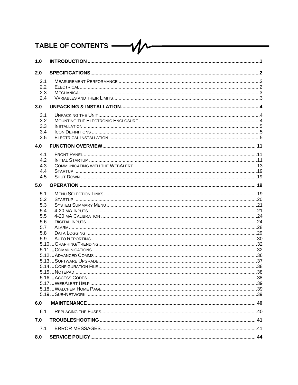#### TABLE OF CONTENTS - $- \mathcal{W}$

| 1.0                                                         |  |
|-------------------------------------------------------------|--|
| 2.0                                                         |  |
| 2.1<br>2.2<br>2.3<br>2.4                                    |  |
| 3.0                                                         |  |
| 3.1<br>3.2<br>3.3<br>3.4<br>3.5                             |  |
| 4.0                                                         |  |
| 4.1<br>4.2<br>4.3<br>4.4<br>4.5                             |  |
| 5.0                                                         |  |
| 5.1<br>5.2<br>5.3<br>5.4<br>5.5<br>5.6<br>5.7<br>5.8<br>5.9 |  |
| 6.0                                                         |  |
| 6.1<br>7.0                                                  |  |
| 7.1                                                         |  |
| 8.0                                                         |  |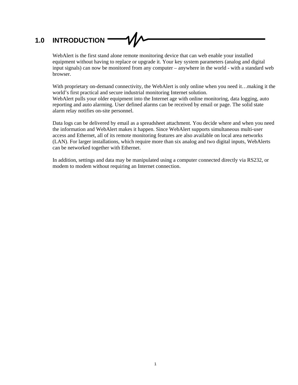# **1.0 INTRODUCTION**

WebAlert is the first stand alone remote monitoring device that can web enable your installed equipment without having to replace or upgrade it. Your key system parameters (analog and digital input signals) can now be monitored from any computer – anywhere in the world - with a standard web browser.

With proprietary on-demand connectivity, the WebAlert is only online when you need it…making it the world's first practical and secure industrial monitoring Internet solution. WebAlert pulls your older equipment into the Internet age with online monitoring, data logging, auto reporting and auto alarming. User defined alarms can be received by email or page. The solid state alarm relay notifies on-site personnel.

Data logs can be delivered by email as a spreadsheet attachment. You decide where and when you need the information and WebAlert makes it happen. Since WebAlert supports simultaneous multi-user access and Ethernet, all of its remote monitoring features are also available on local area networks (LAN). For larger installations, which require more than six analog and two digital inputs, WebAlerts can be networked together with Ethernet.

In addition, settings and data may be manipulated using a computer connected directly via RS232, or modem to modem without requiring an Internet connection.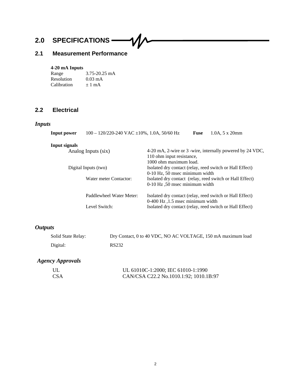# **2.0 SPECIFICATIONS**

# **2.1 Measurement Performance**

#### **4-20 mA Inputs**

| Range       | $3.75 - 20.25$ mA |
|-------------|-------------------|
| Resolution  | $0.03 \text{ mA}$ |
| Calibration | $\pm 1$ mA        |

# **2.2 Electrical**

# *Inputs*

| $100 - 120/220 - 240$ VAC $\pm 10\%$ , 1.0A, 50/60 Hz | $1.0A$ , $5 \times 20$ mm<br>Fuse                                                                |  |  |
|-------------------------------------------------------|--------------------------------------------------------------------------------------------------|--|--|
|                                                       |                                                                                                  |  |  |
| Analog Inputs (six)                                   | 4-20 mA, 2-wire or 3 -wire, internally powered by 24 VDC,                                        |  |  |
|                                                       | 110 ohm input resistance,                                                                        |  |  |
|                                                       | 1000 ohm maximum load.                                                                           |  |  |
| Digital Inputs (two)                                  | Isolated dry contact (relay, reed switch or Hall Effect)                                         |  |  |
|                                                       | 0-10 Hz, 50 msec minimum width                                                                   |  |  |
| Water meter Contactor:                                | Isolated dry contact (relay, reed switch or Hall Effect)                                         |  |  |
|                                                       | 0-10 Hz, 50 msec minimum width                                                                   |  |  |
| Paddlewheel Water Meter:                              | Isolated dry contact (relay, reed switch or Hall Effect)<br>$0-400$ Hz, $1.5$ msec minimum width |  |  |
| Level Switch:                                         | Isolated dry contact (relay, reed switch or Hall Effect)                                         |  |  |
|                                                       |                                                                                                  |  |  |

 $\mathcal{U}\mathcal{N}$ 

# *Outputs*

| Solid State Relay: | Dry Contact, 0 to 40 VDC, NO AC VOLTAGE, 150 mA maximum load |
|--------------------|--------------------------------------------------------------|
| Digital:           | RS232                                                        |

# *Agency Approvals*

| UL  | UL 61010C-1:2000; IEC 61010-1:1990     |
|-----|----------------------------------------|
| CSA | CAN/CSA C22.2 No.1010.1:92; 1010.1B:97 |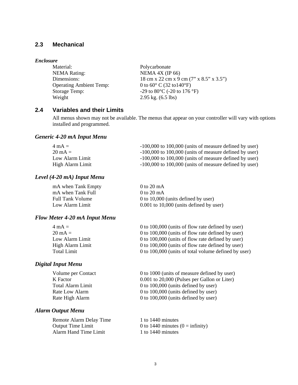## **2.3 Mechanical**

#### *Enclosure*

| Material:                      | Polycarbonate                                    |
|--------------------------------|--------------------------------------------------|
| <b>NEMA Rating:</b>            | NEMA $4X$ (IP 66)                                |
| Dimensions:                    | 18 cm x 22 cm x 9 cm (7" x 8.5" x 3.5")          |
| <b>Operating Ambient Temp:</b> | 0 to $60^{\circ}$ C (32 to $140^{\circ}$ F)      |
| <b>Storage Temp:</b>           | -29 to 80 $^{\circ}$ C (-20 to 176 $^{\circ}$ F) |
| Weight                         | $2.95$ kg. $(6.5$ lbs)                           |

## **2.4 Variables and their Limits**

All menus shown may not be available. The menus that appear on your controller will vary with options installed and programmed.

#### *Generic 4-20 mA Input Menu*

| $4 \text{ mA} =$  | $-100,000$ to $100,000$ (units of measure defined by user) |
|-------------------|------------------------------------------------------------|
| $20 \text{ mA} =$ | $-100,000$ to $100,000$ (units of measure defined by user) |
| Low Alarm Limit   | $-100,000$ to $100,000$ (units of measure defined by user) |
| High Alarm Limit  | $-100,000$ to $100,000$ (units of measure defined by user) |

#### *Level (4-20 mA) Input Menu*

| mA when Tank Empty      | 0 to 20 mA                                  |
|-------------------------|---------------------------------------------|
| mA when Tank Full       | $0$ to 20 mA                                |
| <b>Full Tank Volume</b> | 0 to 10,000 (units defined by user)         |
| Low Alarm Limit         | $0.001$ to $10,000$ (units defined by user) |

#### *Flow Meter 4-20 mA Input Menu*

| 0 to 100,000 (units of flow rate defined by user)    |
|------------------------------------------------------|
| 0 to 100,000 (units of flow rate defined by user)    |
|                                                      |
| 0 to 100,000 (units of flow rate defined by user)    |
| 0 to 100,000 (units of total volume defined by user) |
| 0 to 100,000 (units of flow rate defined by user)    |

#### *Digital Input Menu*

#### *Alarm Output Menu*

Remote Alarm Delay Time 1 to 1440 minutes<br>Output Time Limit 0 to 1440 minutes Alarm Hand Time Limit 1 to 1440 minutes

Volume per Contact 0 to 1000 (units of measure defined by user)<br>
K Factor 0.001 to 20.000 (Pulses per Gallon or Liter)  $0.001$  to 20,000 (Pulses per Gallon or Liter) Total Alarm Limit 0 to 100,000 (units defined by user) Rate Low Alarm 0 to 100,000 (units defined by user) Rate High Alarm 0 to 100,000 (units defined by user)

 $0$  to 1440 minutes ( $0 =$  infinity)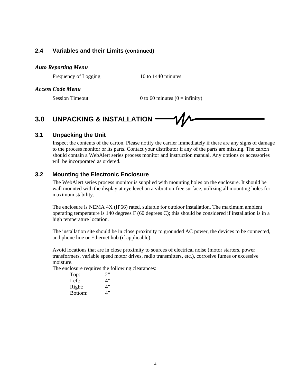#### **2.4 Variables and their Limits (continued)**

#### *Auto Reporting Menu*

Frequency of Logging 10 to 1440 minutes

#### *Access Code Menu*

Session Timeout 0 to 60 minutes  $(0 = \text{infinity})$ 

# **3.0 UNPACKING & INSTALLATION**

#### **3.1 Unpacking the Unit**

Inspect the contents of the carton. Please notify the carrier immediately if there are any signs of damage to the process monitor or its parts. Contact your distributor if any of the parts are missing. The carton should contain a WebAlert series process monitor and instruction manual. Any options or accessories will be incorporated as ordered.

## **3.2 Mounting the Electronic Enclosure**

The WebAlert series process monitor is supplied with mounting holes on the enclosure. It should be wall mounted with the display at eye level on a vibration-free surface, utilizing all mounting holes for maximum stability.

The enclosure is NEMA 4X (IP66) rated, suitable for outdoor installation. The maximum ambient operating temperature is 140 degrees F (60 degrees C); this should be considered if installation is in a high temperature location.

The installation site should be in close proximity to grounded AC power, the devices to be connected, and phone line or Ethernet hub (if applicable).

Avoid locations that are in close proximity to sources of electrical noise (motor starters, power transformers, variable speed motor drives, radio transmitters, etc.), corrosive fumes or excessive moisture.

The enclosure requires the following clearances:

| Top:    | 2  |
|---------|----|
| Left:   | 4" |
| Right:  | 4" |
| Bottom: | 4" |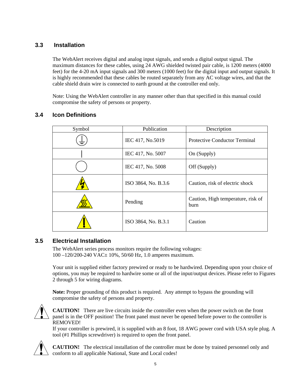# **3.3 Installation**

The WebAlert receives digital and analog input signals, and sends a digital output signal. The maximum distances for these cables, using 24 AWG shielded twisted pair cable, is 1200 meters (4000 feet) for the 4-20 mA input signals and 300 meters (1000 feet) for the digital input and output signals. It is highly recommended that these cables be routed separately from any AC voltage wires, and that the cable shield drain wire is connected to earth ground at the controller end only.

Note: Using the WebAlert controller in any manner other than that specified in this manual could compromise the safety of persons or property.

| Symbol | Publication         | Description                                |
|--------|---------------------|--------------------------------------------|
| ≑      | IEC 417, No.5019    | <b>Protective Conductor Terminal</b>       |
|        | IEC 417, No. 5007   | On (Supply)                                |
|        | IEC 417, No. 5008   | Off (Supply)                               |
|        | ISO 3864, No. B.3.6 | Caution, risk of electric shock            |
|        | Pending             | Caution, High temperature, risk of<br>burn |
|        | ISO 3864, No. B.3.1 | Caution                                    |

# **3.4 Icon Definitions**

# **3.5 Electrical Installation**

The WebAlert series process monitors require the following voltages: 100 –120/200-240 VAC± 10%, 50/60 Hz, 1.0 amperes maximum.

Your unit is supplied either factory prewired or ready to be hardwired. Depending upon your choice of options, you may be required to hardwire some or all of the input/output devices. Please refer to Figures 2 through 5 for wiring diagrams.

**Note:** Proper grounding of this product is required. Any attempt to bypass the grounding will compromise the safety of persons and property.



**CAUTION!** There are live circuits inside the controller even when the power switch on the front panel is in the OFF position! The front panel must never be opened before power to the controller is REMOVED!

If your controller is prewired, it is supplied with an 8 foot, 18 AWG power cord with USA style plug. A tool (#1 Phillips screwdriver) is required to open the front panel.



**CAUTION!** The electrical installation of the controller must be done by trained personnel only and conform to all applicable National, State and Local codes!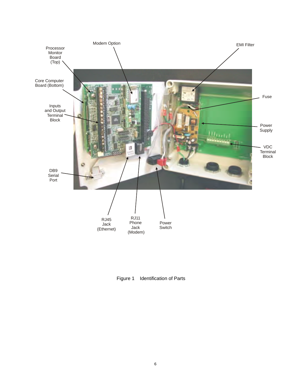

Figure 1 Identification of Parts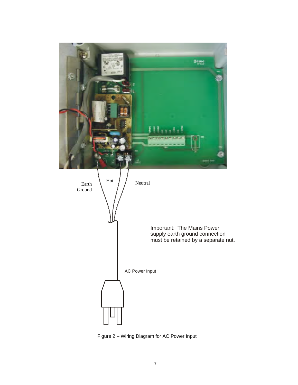

Figure 2 – Wiring Diagram for AC Power Input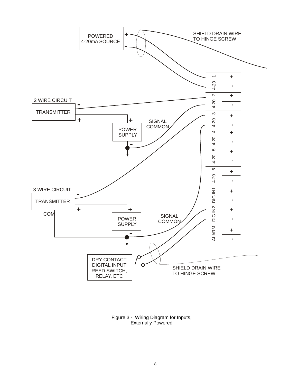

Figure 3 - Wiring Diagram for Inputs, Externally Powered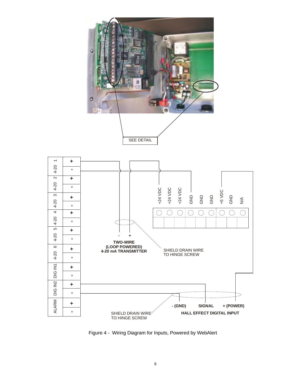

Figure 4 - Wiring Diagram for Inputs, Powered by WebAlert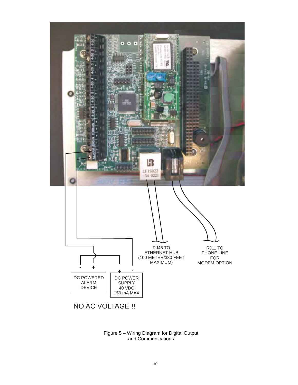

Figure 5 – Wiring Diagram for Digital Output and Communications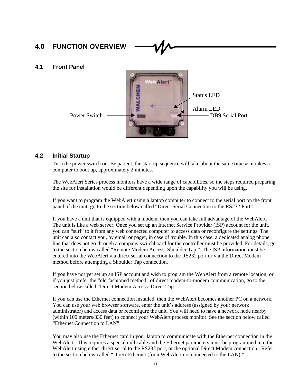# **4.0 FUNCTION OVERVIEW**

#### **4.1 Front Panel**



#### **4.2 Initial Startup**

Turn the power switch on. Be patient, the start up sequence will take about the same time as it takes a computer to boot up, approximately 2 minutes.

The WebAlert Series process monitors have a wide range of capabilities, so the steps required preparing the site for installation would be different depending upon the capability you will be using.

If you want to program the WebAlert using a laptop computer to connect to the serial port on the front panel of the unit, go to the section below called "Direct Serial Connection to the RS232 Port".

If you have a unit that is equipped with a modem, then you can take full advantage of the WebAlert. The unit is like a web server. Once you set up an Internet Service Provider (ISP) account for the unit, you can "surf" to it from any web connected computer to access data or reconfigure the settings. The unit can also contact you, by email or pager, in case of trouble. In this case, a dedicated analog phone line that does not go through a company switchboard for the controller must be provided. For details, go to the section below called "Remote Modem Access: Shoulder Tap." The ISP information must be entered into the WebAlert via direct serial connection to the RS232 port or via the Direct Modem method before attempting a Shoulder Tap connection.

If you have not yet set up an ISP account and wish to program the WebAlert from a remote location, or if you just prefer the "old fashioned method" of direct modem-to-modem communication, go to the section below called "Direct Modem Access: Direct Tap."

If you can use the Ethernet connection installed, then the WebAlert becomes another PC on a network. You can use your web browser software, enter the unit's address (assigned by your network administrator) and access data or reconfigure the unit. You will need to have a network node nearby (within 100 meters/330 feet) to connect your WebAlert process monitor. See the section below called "Ethernet Connection to LAN".

You may also use the Ethernet card in your laptop to communicate with the Ethernet connection in the WebAlert. This requires a special null cable and the Ethernet parameters must be programmed into the WebAlert using either direct serial to the RS232 port, or the optional Direct Modem connection. Refer to the section below called "Direct Ethernet (for a WebAlert not connected to the LAN)."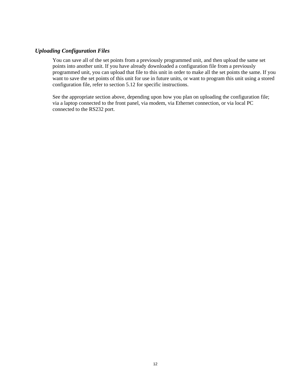#### *Uploading Configuration Files*

You can save all of the set points from a previously programmed unit, and then upload the same set points into another unit. If you have already downloaded a configuration file from a previously programmed unit, you can upload that file to this unit in order to make all the set points the same. If you want to save the set points of this unit for use in future units, or want to program this unit using a stored configuration file, refer to section 5.12 for specific instructions.

See the appropriate section above, depending upon how you plan on uploading the configuration file; via a laptop connected to the front panel, via modem, via Ethernet connection, or via local PC connected to the RS232 port.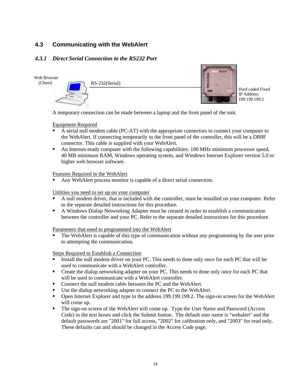## **4.3 Communicating with the WebAlert**

#### *4.3.1 Direct Serial Connection to the RS232 Port*

Web Browser

(Client)

RS-232(Serial)



Hard coded Fixed IP Address: 199.199.199.2

A temporary connection can be made between a laptop and the front panel of the unit.

#### Equipment Required

- - A serial null modem cable (PC-AT) with the appropriate connectors to connect your computer to the WebAlert. If connecting temporarily to the front panel of the controller, this will be a DB9F connector. This cable is supplied with your WebAlert.
- - An Internet-ready computer with the following capabilities: 100 MHz minimum processor speed, 40 MB minimum RAM, Windows operating system, and Windows Internet Explorer version 5.0 or higher web browser software.

Features Required in the WebAlert

**Any WebAlert process monitor is capable of a direct serial connection.** 

Utilities you need to set up on your computer

- - A null modem driver, that is included with the controller, must be installed on your computer. Refer to the separate detailed instructions for this procedure.
- - A Windows Dialup Networking Adapter must be created in order to establish a communication between the controller and your PC. Refer to the separate detailed instructions for this procedure.

Parameters that need to programmed into the WebAlert

- The WebAlert is capable of this type of communication without any programming by the user prior to attempting the communication.

- - Install the null modem driver on your PC. This needs to done only once for each PC that will be used to communicate with a WebAlert controller.
- - Create the dialup networking adapter on your PC. This needs to done only once for each PC that will be used to communicate with a WebAlert controller.
- -Connect the null modem cable between the PC and the WebAlert.
- -Use the dialup networking adapter to connect the PC to the WebAlert.
- Open Internet Explorer and type in the address 199.199.199.2. The sign-on screen for the WebAlert will come up.
- The sign-on screen of the WebAlert will come up. Type the User Name and Password (Access Code) in the text boxes and click the Submit button. The default user name is "webalert" and the default passwords are "2001" for full access, "2002" for calibration only, and "2003" for read only. These defaults can and should be changed in the Access Code page.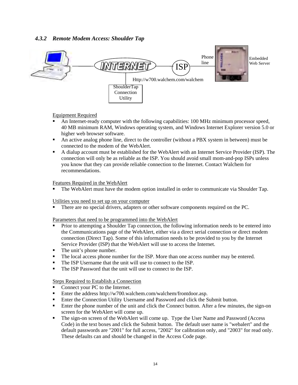#### *4.3.2 Remote Modem Access: Shoulder Tap*



Equipment Required

- - An Internet-ready computer with the following capabilities: 100 MHz minimum processor speed, 40 MB minimum RAM, Windows operating system, and Windows Internet Explorer version 5.0 or higher web browser software.
- An active analog phone line, direct to the controller (without a PBX system in between) must be connected to the modem of the WebAlert.
- A dialup account must be established for the WebAlert with an Internet Service Provider (ISP). The connection will only be as reliable as the ISP. You should avoid small mom-and-pop ISPs unless you know that they can provide reliable connection to the Internet. Contact Walchem for recommendations.

#### Features Required in the WebAlert

-The WebAlert must have the modem option installed in order to communicate via Shoulder Tap.

Utilities you need to set up on your computer

-There are no special drivers, adapters or other software components required on the PC.

#### Parameters that need to be programmed into the WebAlert

- - Prior to attempting a Shoulder Tap connection, the following information needs to be entered into the Communications page of the WebAlert, either via a direct serial connection or direct modem connection (Direct Tap). Some of this information needs to be provided to you by the Internet Service Provider (ISP) that the WebAlert will use to access the Internet.
- The unit's phone number.
- -The local access phone number for the ISP. More than one access number may be entered.
- -The ISP Username that the unit will use to connect to the ISP.
- -The ISP Password that the unit will use to connect to the ISP.

- -Connect your PC to the Internet.
- Enter the address http://w700.walchem.com/walchem/frontdoor.asp.
- **Enter the Connection Utility Username and Password and click the Submit button.**
- - Enter the phone number of the unit and click the Connect button. After a few minutes, the sign-on screen for the WebAlert will come up.
- - The sign-on screen of the WebAlert will come up. Type the User Name and Password (Access Code) in the text boxes and click the Submit button. The default user name is "webalert" and the default passwords are "2001" for full access, "2002" for calibration only, and "2003" for read only. These defaults can and should be changed in the Access Code page.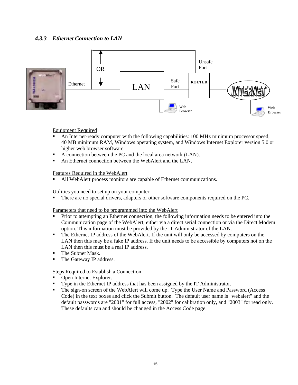## *4.3.3 Ethernet Connection to LAN*



#### Equipment Required

- - An Internet-ready computer with the following capabilities: 100 MHz minimum processor speed, 40 MB minimum RAM, Windows operating system, and Windows Internet Explorer version 5.0 or higher web browser software.
- -A connection between the PC and the local area network (LAN).
- -An Ethernet connection between the WebAlert and the LAN.

#### Features Required in the WebAlert

All WebAlert process monitors are capable of Ethernet communications.

#### Utilities you need to set up on your computer

-There are no special drivers, adapters or other software components required on the PC.

#### Parameters that need to be programmed into the WebAlert

- - Prior to attempting an Ethernet connection, the following information needs to be entered into the Communication page of the WebAlert, either via a direct serial connection or via the Direct Modem option. This information must be provided by the IT Administrator of the LAN.
- - The Ethernet IP address of the WebAlert. If the unit will only be accessed by computers on the LAN then this may be a fake IP address. If the unit needs to be accessible by computers not on the LAN then this must be a real IP address.
- -The Subnet Mask.
- -The Gateway IP address.

- -Open Internet Explorer.
- -Type in the Ethernet IP address that has been assigned by the IT Administrator.
- - The sign-on screen of the WebAlert will come up. Type the User Name and Password (Access Code) in the text boxes and click the Submit button. The default user name is "webalert" and the default passwords are "2001" for full access, "2002" for calibration only, and "2003" for read only. These defaults can and should be changed in the Access Code page.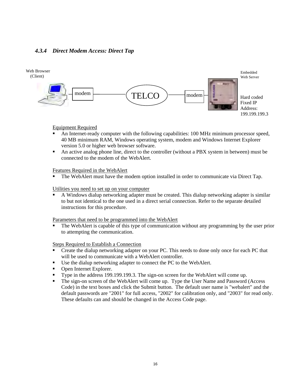#### *4.3.4 Direct Modem Access: Direct Tap*



#### Equipment Required

- - An Internet-ready computer with the following capabilities: 100 MHz minimum processor speed, 40 MB minimum RAM, Windows operating system, modem and Windows Internet Explorer version 5.0 or higher web browser software.
- - An active analog phone line, direct to the controller (without a PBX system in between) must be connected to the modem of the WebAlert.

#### Features Required in the WebAlert

-The WebAlert must have the modem option installed in order to communicate via Direct Tap.

#### Utilities you need to set up on your computer

- A Windows dialup networking adapter must be created. This dialup networking adapter is similar to but not identical to the one used in a direct serial connection. Refer to the separate detailed instructions for this procedure.

Parameters that need to be programmed into the WebAlert

- The WebAlert is capable of this type of communication without any programming by the user prior to attempting the communication.

- - Create the dialup networking adapter on your PC. This needs to done only once for each PC that will be used to communicate with a WebAlert controller.
- -Use the dialup networking adapter to connect the PC to the WebAlert.
- -Open Internet Explorer.
- -Type in the address 199.199.199.3. The sign-on screen for the WebAlert will come up.
- - The sign-on screen of the WebAlert will come up. Type the User Name and Password (Access Code) in the text boxes and click the Submit button. The default user name is "webalert" and the default passwords are "2001" for full access, "2002" for calibration only, and "2003" for read only. These defaults can and should be changed in the Access Code page.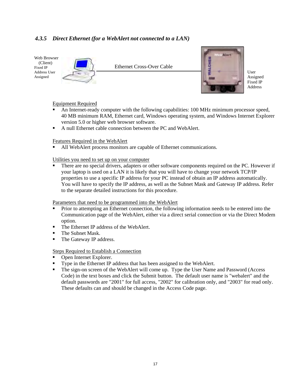## *4.3.5 Direct Ethernet (for a WebAlert not connected to a LAN)*

Web Browser (Client) Fixed IP Address User Assigned



Ethernet Cross-Over Cable



User Assigned Fixed IP Address

#### Equipment Required

- - An Internet-ready computer with the following capabilities: 100 MHz minimum processor speed, 40 MB minimum RAM, Ethernet card, Windows operating system, and Windows Internet Explorer version 5.0 or higher web browser software.
- A null Ethernet cable connection between the PC and WebAlert.

#### Features Required in the WebAlert

-All WebAlert process monitors are capable of Ethernet communications.

#### Utilities you need to set up on your computer

- There are no special drivers, adapters or other software components required on the PC. However if your laptop is used on a LAN it is likely that you will have to change your network TCP/IP properties to use a specific IP address for your PC instead of obtain an IP address automatically. You will have to specify the IP address, as well as the Subnet Mask and Gateway IP address. Refer to the separate detailed instructions for this procedure.

Parameters that need to be programmed into the WebAlert

- - Prior to attempting an Ethernet connection, the following information needs to be entered into the Communication page of the WebAlert, either via a direct serial connection or via the Direct Modem option.
- -The Ethernet IP address of the WebAlert.
- -The Subnet Mask.
- -The Gateway IP address.

- **Open Internet Explorer.**
- -Type in the Ethernet IP address that has been assigned to the WebAlert.
- - The sign-on screen of the WebAlert will come up. Type the User Name and Password (Access Code) in the text boxes and click the Submit button. The default user name is "webalert" and the default passwords are "2001" for full access, "2002" for calibration only, and "2003" for read only. These defaults can and should be changed in the Access Code page.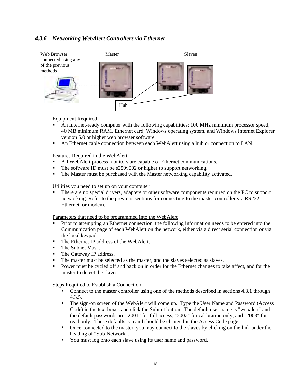## *4.3.6 Networking WebAlert Controllers via Ethernet*



#### Equipment Required

- - An Internet-ready computer with the following capabilities: 100 MHz minimum processor speed, 40 MB minimum RAM, Ethernet card, Windows operating system, and Windows Internet Explorer version 5.0 or higher web browser software.
- -An Ethernet cable connection between each WebAlert using a hub or connection to LAN.

Features Required in the WebAlert

- -All WebAlert process monitors are capable of Ethernet communications.
- -The software ID must be s250v002 or higher to support networking.
- -The Master must be purchased with the Master networking capability activated.

#### Utilities you need to set up on your computer

- There are no special drivers, adapters or other software components required on the PC to support networking. Refer to the previous sections for connecting to the master controller via RS232, Ethernet, or modem.

Parameters that need to be programmed into the WebAlert

- - Prior to attempting an Ethernet connection, the following information needs to be entered into the Communication page of each WebAlert on the network, either via a direct serial connection or via the local keypad.
- The Ethernet IP address of the WebAlert.
- **The Subnet Mask.**
- The Gateway IP address.
- The master must be selected as the master, and the slaves selected as slaves.
- - Power must be cycled off and back on in order for the Ethernet changes to take affect, and for the master to detect the slaves.

- - Connect to the master controller using one of the methods described in sections 4.3.1 through 4.3.5.
- - The sign-on screen of the WebAlert will come up. Type the User Name and Password (Access Code) in the text boxes and click the Submit button. The default user name is "webalert" and the default passwords are "2001" for full access, "2002" for calibration only, and "2003" for read only. These defaults can and should be changed in the Access Code page.
- - Once connected to the master, you may connect to the slaves by clicking on the link under the heading of "Sub-Network".
- -You must log onto each slave using its user name and password.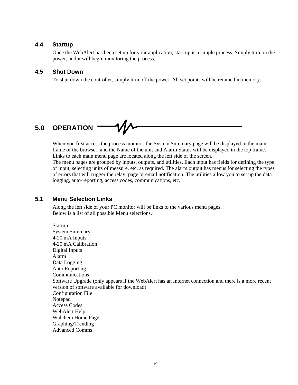#### **4.4 Startup**

Once the WebAlert has been set up for your application, start up is a simple process. Simply turn on the power, and it will begin monitoring the process.

#### **4.5 Shut Down**

To shut down the controller, simply turn off the power. All set points will be retained in memory.

# **5.0 OPERATION**

When you first access the process monitor, the System Summary page will be displayed in the main frame of the browser, and the Name of the unit and Alarm Status will be displayed in the top frame. Links to each main menu page are located along the left side of the screen.

The menu pages are grouped by inputs, outputs, and utilities. Each input has fields for defining the type of input, selecting units of measure, etc. as required. The alarm output has menus for selecting the types of errors that will trigger the relay, page or email notification. The utilities allow you to set up the data logging, auto-reporting, access codes, communications, etc.

#### **5.1 Menu Selection Links**

Along the left side of your PC monitor will be links to the various menu pages. Below is a list of all possible Menu selections.

Startup System Summary 4-20 mA Inputs 4-20 mA Calibration Digital Inputs Alarm Data Logging Auto Reporting Communications Software Upgrade (only appears if the WebAlert has an Internet connection and there is a more recent version of software available for download) Configuration File Notepad Access Codes WebAlert Help Walchem Home Page Graphing/Trending Advanced Comms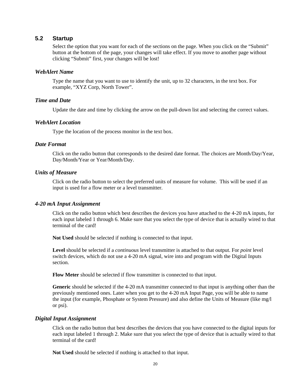## **5.2 Startup**

Select the option that you want for each of the sections on the page. When you click on the "Submit" button at the bottom of the page, your changes will take effect. If you move to another page without clicking "Submit" first, your changes will be lost!

#### *WebAlert Name*

Type the name that you want to use to identify the unit, up to 32 characters, in the text box. For example, "XYZ Corp, North Tower".

#### *Time and Date*

Update the date and time by clicking the arrow on the pull-down list and selecting the correct values.

#### *WebAlert Location*

Type the location of the process monitor in the text box.

#### *Date Format*

Click on the radio button that corresponds to the desired date format. The choices are Month/Day/Year, Day/Month/Year or Year/Month/Day.

#### *Units of Measure*

Click on the radio button to select the preferred units of measure for volume. This will be used if an input is used for a flow meter or a level transmitter.

#### *4-20 mA Input Assignment*

Click on the radio button which best describes the devices you have attached to the 4-20 mA inputs, for each input labeled 1 through 6. Make sure that you select the type of device that is actually wired to that terminal of the card!

**Not Used** should be selected if nothing is connected to that input.

**Level** should be selected if a *continuous* level transmitter is attached to that output. For *point* level switch devices, which do not use a 4-20 mA signal, wire into and program with the Digital Inputs section.

**Flow Meter** should be selected if flow transmitter is connected to that input.

**Generic** should be selected if the 4-20 mA transmitter connected to that input is anything other than the previously mentioned ones. Later when you get to the 4-20 mA Input Page, you will be able to name the input (for example, Phosphate or System Pressure) and also define the Units of Measure (like mg/l or psi).

#### *Digital Input Assignment*

Click on the radio button that best describes the devices that you have connected to the digital inputs for each input labeled 1 through 2. Make sure that you select the type of device that is actually wired to that terminal of the card!

**Not Used** should be selected if nothing is attached to that input.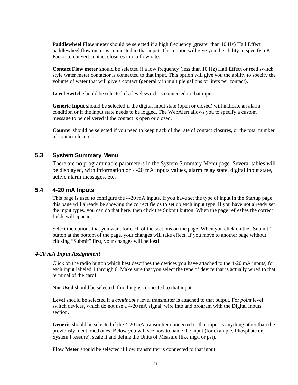**Paddlewheel Flow meter** should be selected if a high frequency (greater than 10 Hz) Hall Effect paddlewheel flow meter is connected to that input. This option will give you the ability to specify a K Factor to convert contact closures into a flow rate.

**Contact Flow meter** should be selected if a low frequency (less than 10 Hz) Hall Effect or reed switch style water meter contactor is connected to that input. This option will give you the ability to specify the volume of water that will give a contact (generally in multiple gallons or liters per contact).

**Level Switch** should be selected if a level switch is connected to that input.

**Generic Input** should be selected if the digital input state (open or closed) will indicate an alarm condition or if the input state needs to be logged. The WebAlert allows you to specify a custom message to be delivered if the contact is open or closed.

**Counter** should be selected if you need to keep track of the rate of contact closures, or the total number of contact closures.

#### **5.3 System Summary Menu**

There are no programmable parameters in the System Summary Menu page. Several tables will be displayed, with information on 4-20 mA inputs values, alarm relay state, digital input state, active alarm messages, etc.

#### **5.4 4-20 mA Inputs**

This page is used to configure the 4-20 mA inputs. If you have set the type of input in the Startup page, this page will already be showing the correct fields to set up each input type. If you have not already set the input types, you can do that here, then click the Submit button. When the page refreshes the correct fields will appear.

Select the options that you want for each of the sections on the page. When you click on the "Submit" button at the bottom of the page, your changes will take effect. If you move to another page without clicking "Submit" first, your changes will be lost!

#### *4-20 mA Input Assignment*

Click on the radio button which best describes the devices you have attached to the 4-20 mA inputs, for each input labeled 1 through 6. Make sure that you select the type of device that is actually wired to that terminal of the card!

**Not Used** should be selected if nothing is connected to that input.

**Level** should be selected if a *continuous* level transmitter is attached to that output. For *point* level switch devices, which do not use a 4-20 mA signal, wire into and program with the Digital Inputs section.

**Generic** should be selected if the 4-20 mA transmitter connected to that input is anything other than the previously mentioned ones. Below you will see how to name the input (for example, Phosphate or System Pressure), scale it and define the Units of Measure (like mg/l or psi).

**Flow Meter** should be selected if flow transmitter is connected to that input.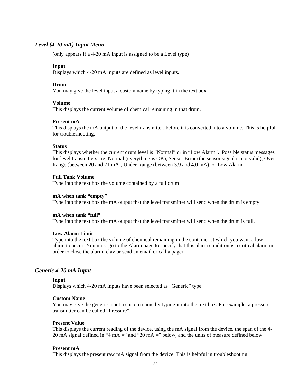#### *Level (4-20 mA) Input Menu*

(only appears if a 4-20 mA input is assigned to be a Level type)

#### **Input**

Displays which 4-20 mA inputs are defined as level inputs.

#### **Drum**

You may give the level input a custom name by typing it in the text box.

#### **Volume**

This displays the current volume of chemical remaining in that drum.

#### **Present mA**

This displays the mA output of the level transmitter, before it is converted into a volume. This is helpful for troubleshooting.

#### **Status**

This displays whether the current drum level is "Normal" or in "Low Alarm". Possible status messages for level transmitters are; Normal (everything is OK), Sensor Error (the sensor signal is not valid), Over Range (between 20 and 21 mA), Under Range (between 3.9 and 4.0 mA), or Low Alarm.

#### **Full Tank Volume**

Type into the text box the volume contained by a full drum

#### **mA when tank "empty"**

Type into the text box the mA output that the level transmitter will send when the drum is empty.

#### **mA when tank "full"**

Type into the text box the mA output that the level transmitter will send when the drum is full.

#### **Low Alarm Limit**

Type into the text box the volume of chemical remaining in the container at which you want a low alarm to occur. You must go to the Alarm page to specify that this alarm condition is a critical alarm in order to close the alarm relay or send an email or call a pager.

#### *Generic 4-20 mA Input*

#### **Input**

Displays which 4-20 mA inputs have been selected as "Generic" type.

#### **Custom Name**

You may give the generic input a custom name by typing it into the text box. For example, a pressure transmitter can be called "Pressure".

#### **Present Value**

This displays the current reading of the device, using the mA signal from the device, the span of the 4- 20 mA signal defined in "4 mA =" and "20 mA =" below, and the units of measure defined below.

#### **Present mA**

This displays the present raw mA signal from the device. This is helpful in troubleshooting.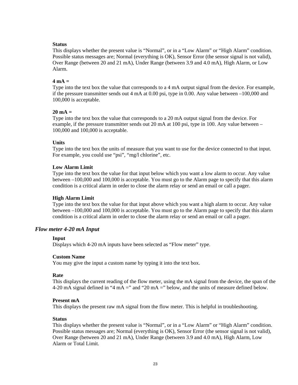#### **Status**

This displays whether the present value is "Normal", or in a "Low Alarm" or "High Alarm" condition. Possible status messages are; Normal (everything is OK), Sensor Error (the sensor signal is not valid), Over Range (between 20 and 21 mA), Under Range (between 3.9 and 4.0 mA), High Alarm, or Low Alarm.

#### **4 mA =**

Type into the text box the value that corresponds to a 4 mA output signal from the device. For example, if the pressure transmitter sends out 4 mA at  $0.00$  psi, type in 0.00. Any value between  $-100,000$  and 100,000 is acceptable.

#### **20 mA =**

Type into the text box the value that corresponds to a 20 mA output signal from the device. For example, if the pressure transmitter sends out 20 mA at 100 psi, type in 100. Any value between – 100,000 and 100,000 is acceptable.

#### **Units**

Type into the text box the units of measure that you want to use for the device connected to that input. For example, you could use "psi", "mg/l chlorine", etc.

#### **Low Alarm Limit**

Type into the text box the value for that input below which you want a low alarm to occur. Any value between –100,000 and 100,000 is acceptable. You must go to the Alarm page to specify that this alarm condition is a critical alarm in order to close the alarm relay or send an email or call a pager.

#### **High Alarm Limit**

Type into the text box the value for that input above which you want a high alarm to occur. Any value between –100,000 and 100,000 is acceptable. You must go to the Alarm page to specify that this alarm condition is a critical alarm in order to close the alarm relay or send an email or call a pager.

#### *Flow meter 4-20 mA Input*

#### **Input**

Displays which 4-20 mA inputs have been selected as "Flow meter" type.

#### **Custom Name**

You may give the input a custom name by typing it into the text box.

#### **Rate**

This displays the current reading of the flow meter, using the mA signal from the device, the span of the 4-20 mA signal defined in "4 mA =" and "20 mA =" below, and the units of measure defined below.

#### **Present mA**

This displays the present raw mA signal from the flow meter. This is helpful in troubleshooting.

#### **Status**

This displays whether the present value is "Normal", or in a "Low Alarm" or "High Alarm" condition. Possible status messages are; Normal (everything is OK), Sensor Error (the sensor signal is not valid), Over Range (between 20 and 21 mA), Under Range (between 3.9 and 4.0 mA), High Alarm, Low Alarm or Total Limit.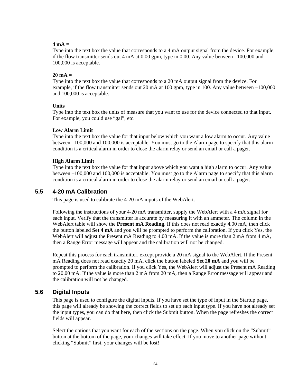#### $4 \text{ mA}$  –

Type into the text box the value that corresponds to a 4 mA output signal from the device. For example, if the flow transmitter sends out 4 mA at 0.00 gpm, type in 0.00. Any value between –100,000 and 100,000 is acceptable.

#### **20 mA =**

Type into the text box the value that corresponds to a 20 mA output signal from the device. For example, if the flow transmitter sends out 20 mA at 100 gpm, type in 100. Any value between –100,000 and 100,000 is acceptable.

#### **Units**

Type into the text box the units of measure that you want to use for the device connected to that input. For example, you could use "gal", etc.

#### **Low Alarm Limit**

Type into the text box the value for that input below which you want a low alarm to occur. Any value between –100,000 and 100,000 is acceptable. You must go to the Alarm page to specify that this alarm condition is a critical alarm in order to close the alarm relay or send an email or call a pager.

#### **High Alarm Limit**

Type into the text box the value for that input above which you want a high alarm to occur. Any value between –100,000 and 100,000 is acceptable. You must go to the Alarm page to specify that this alarm condition is a critical alarm in order to close the alarm relay or send an email or call a pager.

#### **5.5 4-20 mA Calibration**

This page is used to calibrate the 4-20 mA inputs of the WebAlert.

Following the instructions of your 4-20 mA transmitter, supply the WebAlert with a 4 mA signal for each input. Verify that the transmitter is accurate by measuring it with an ammeter. The column in the WebAlert table will show the **Present mA Reading**. If this does not read exactly 4.00 mA, then click the button labeled **Set 4 mA** and you will be prompted to perform the calibration. If you click Yes, the WebAlert will adjust the Present mA Reading to 4.00 mA. If the value is more than 2 mA from 4 mA, then a Range Error message will appear and the calibration will not be changed.

Repeat this process for each transmitter, except provide a 20 mA signal to the WebAlert. If the Present mA Reading does not read exactly 20 mA, click the button labeled **Set 20 mA** and you will be prompted to perform the calibration. If you click Yes, the WebAlert will adjust the Present mA Reading to 20.00 mA. If the value is more than 2 mA from 20 mA, then a Range Error message will appear and the calibration will not be changed.

## **5.6 Digital Inputs**

This page is used to configure the digital inputs. If you have set the type of input in the Startup page, this page will already be showing the correct fields to set up each input type. If you have not already set the input types, you can do that here, then click the Submit button. When the page refreshes the correct fields will appear.

Select the options that you want for each of the sections on the page. When you click on the "Submit" button at the bottom of the page, your changes will take effect. If you move to another page without clicking "Submit" first, your changes will be lost!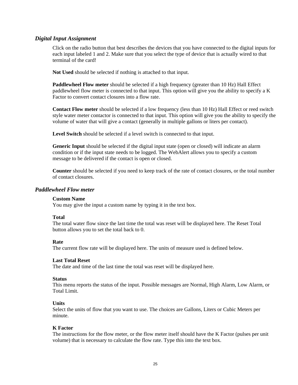#### *Digital Input Assignment*

Click on the radio button that best describes the devices that you have connected to the digital inputs for each input labeled 1 and 2. Make sure that you select the type of device that is actually wired to that terminal of the card!

**Not Used** should be selected if nothing is attached to that input.

**Paddlewheel Flow meter** should be selected if a high frequency (greater than 10 Hz) Hall Effect paddlewheel flow meter is connected to that input. This option will give you the ability to specify a K Factor to convert contact closures into a flow rate.

**Contact Flow meter** should be selected if a low frequency (less than 10 Hz) Hall Effect or reed switch style water meter contactor is connected to that input. This option will give you the ability to specify the volume of water that will give a contact (generally in multiple gallons or liters per contact).

**Level Switch** should be selected if a level switch is connected to that input.

**Generic Input** should be selected if the digital input state (open or closed) will indicate an alarm condition or if the input state needs to be logged. The WebAlert allows you to specify a custom message to be delivered if the contact is open or closed.

**Counter** should be selected if you need to keep track of the rate of contact closures, or the total number of contact closures.

#### *Paddlewheel Flow meter*

#### **Custom Name**

You may give the input a custom name by typing it in the text box.

#### **Total**

The total water flow since the last time the total was reset will be displayed here. The Reset Total button allows you to set the total back to 0.

#### **Rate**

The current flow rate will be displayed here. The units of measure used is defined below.

#### **Last Total Reset**

The date and time of the last time the total was reset will be displayed here.

#### **Status**

This menu reports the status of the input. Possible messages are Normal, High Alarm, Low Alarm, or Total Limit.

#### **Units**

Select the units of flow that you want to use. The choices are Gallons, Liters or Cubic Meters per minute.

#### **K Factor**

The instructions for the flow meter, or the flow meter itself should have the K Factor (pulses per unit volume) that is necessary to calculate the flow rate. Type this into the text box.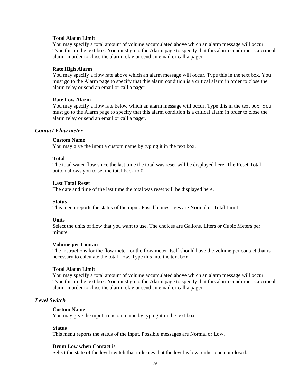#### **Total Alarm Limit**

You may specify a total amount of volume accumulated above which an alarm message will occur. Type this in the text box. You must go to the Alarm page to specify that this alarm condition is a critical alarm in order to close the alarm relay or send an email or call a pager.

#### **Rate High Alarm**

You may specify a flow rate above which an alarm message will occur. Type this in the text box. You must go to the Alarm page to specify that this alarm condition is a critical alarm in order to close the alarm relay or send an email or call a pager.

#### **Rate Low Alarm**

You may specify a flow rate below which an alarm message will occur. Type this in the text box. You must go to the Alarm page to specify that this alarm condition is a critical alarm in order to close the alarm relay or send an email or call a pager.

#### *Contact Flow meter*

#### **Custom Name**

You may give the input a custom name by typing it in the text box.

#### **Total**

The total water flow since the last time the total was reset will be displayed here. The Reset Total button allows you to set the total back to 0.

#### **Last Total Reset**

The date and time of the last time the total was reset will be displayed here.

#### **Status**

This menu reports the status of the input. Possible messages are Normal or Total Limit.

#### **Units**

Select the units of flow that you want to use. The choices are Gallons, Liters or Cubic Meters per minute.

#### **Volume per Contact**

The instructions for the flow meter, or the flow meter itself should have the volume per contact that is necessary to calculate the total flow. Type this into the text box.

#### **Total Alarm Limit**

You may specify a total amount of volume accumulated above which an alarm message will occur. Type this in the text box. You must go to the Alarm page to specify that this alarm condition is a critical alarm in order to close the alarm relay or send an email or call a pager.

#### *Level Switch*

#### **Custom Name**

You may give the input a custom name by typing it in the text box.

#### **Status**

This menu reports the status of the input. Possible messages are Normal or Low.

#### **Drum Low when Contact is**

Select the state of the level switch that indicates that the level is low: either open or closed.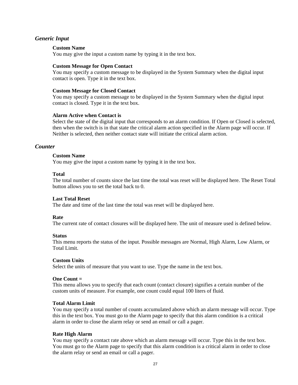#### *Generic Input*

#### **Custom Name**

You may give the input a custom name by typing it in the text box.

#### **Custom Message for Open Contact**

You may specify a custom message to be displayed in the System Summary when the digital input contact is open. Type it in the text box.

#### **Custom Message for Closed Contact**

You may specify a custom message to be displayed in the System Summary when the digital input contact is closed. Type it in the text box.

#### **Alarm Active when Contact is**

Select the state of the digital input that corresponds to an alarm condition. If Open or Closed is selected, then when the switch is in that state the critical alarm action specified in the Alarm page will occur. If Neither is selected, then neither contact state will initiate the critical alarm action.

#### *Counter*

#### **Custom Name**

You may give the input a custom name by typing it in the text box.

#### **Total**

The total number of counts since the last time the total was reset will be displayed here. The Reset Total button allows you to set the total back to 0.

#### **Last Total Reset**

The date and time of the last time the total was reset will be displayed here.

#### **Rate**

The current rate of contact closures will be displayed here. The unit of measure used is defined below.

#### **Status**

This menu reports the status of the input. Possible messages are Normal, High Alarm, Low Alarm, or Total Limit.

#### **Custom Units**

Select the units of measure that you want to use. Type the name in the text box.

#### **One Count =**

This menu allows you to specify that each count (contact closure) signifies a certain number of the custom units of measure. For example, one count could equal 100 liters of fluid.

#### **Total Alarm Limit**

You may specify a total number of counts accumulated above which an alarm message will occur. Type this in the text box. You must go to the Alarm page to specify that this alarm condition is a critical alarm in order to close the alarm relay or send an email or call a pager.

#### **Rate High Alarm**

You may specify a contact rate above which an alarm message will occur. Type this in the text box. You must go to the Alarm page to specify that this alarm condition is a critical alarm in order to close the alarm relay or send an email or call a pager.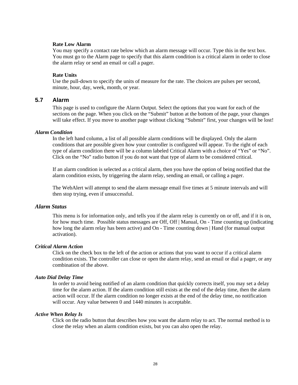#### **Rate Low Alarm**

You may specify a contact rate below which an alarm message will occur. Type this in the text box. You must go to the Alarm page to specify that this alarm condition is a critical alarm in order to close the alarm relay or send an email or call a pager.

#### **Rate Units**

Use the pull-down to specify the units of measure for the rate. The choices are pulses per second, minute, hour, day, week, month, or year.

#### **5.7 Alarm**

This page is used to configure the Alarm Output. Select the options that you want for each of the sections on the page. When you click on the "Submit" button at the bottom of the page, your changes will take effect. If you move to another page without clicking "Submit" first, your changes will be lost!

#### *Alarm Condition*

In the left hand column, a list of all possible alarm conditions will be displayed. Only the alarm conditions that are possible given how your controller is configured will appear. To the right of each type of alarm condition there will be a column labeled Critical Alarm with a choice of "Yes" or "No". Click on the "No" radio button if you do not want that type of alarm to be considered critical.

If an alarm condition is selected as a critical alarm, then you have the option of being notified that the alarm condition exists, by triggering the alarm relay, sending an email, or calling a pager.

The WebAlert will attempt to send the alarm message email five times at 5 minute intervals and will then stop trying, even if unsuccessful.

#### *Alarm Status*

This menu is for information only, and tells you if the alarm relay is currently on or off, and if it is on, for how much time. Possible status messages are Off, Off | Manual, On - Time counting up (indicating how long the alarm relay has been active) and On - Time counting down | Hand (for manual output activation).

#### *Critical Alarm Action*

Click on the check box to the left of the action or actions that you want to occur if a critical alarm condition exists. The controller can close or open the alarm relay, send an email or dial a pager, or any combination of the above.

#### *Auto Dial Delay Time*

In order to avoid being notified of an alarm condition that quickly corrects itself, you may set a delay time for the alarm action. If the alarm condition still exists at the end of the delay time, then the alarm action will occur. If the alarm condition no longer exists at the end of the delay time, no notification will occur. Any value between 0 and 1440 minutes is acceptable.

#### *Active When Relay Is*

Click on the radio button that describes how you want the alarm relay to act. The normal method is to close the relay when an alarm condition exists, but you can also open the relay.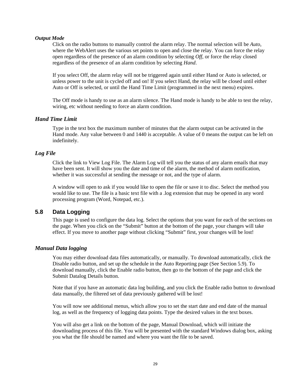#### *Output Mode*

Click on the radio buttons to manually control the alarm relay. The normal selection will be *Auto*, where the WebAlert uses the various set points to open and close the relay. You can force the relay open regardless of the presence of an alarm condition by selecting *Off*, or force the relay closed regardless of the presence of an alarm condition by selecting *Hand*.

If you select Off, the alarm relay will not be triggered again until either Hand or Auto is selected, or unless power to the unit is cycled off and on! If you select Hand, the relay will be closed until either Auto or Off is selected, or until the Hand Time Limit (programmed in the next menu) expires.

The Off mode is handy to use as an alarm silence. The Hand mode is handy to be able to test the relay, wiring, etc without needing to force an alarm condition.

#### *Hand Time Limit*

Type in the text box the maximum number of minutes that the alarm output can be activated in the Hand mode. Any value between 0 and 1440 is acceptable. A value of 0 means the output can be left on indefinitely.

#### *Log File*

Click the link to View Log File. The Alarm Log will tell you the status of any alarm emails that may have been sent. It will show you the date and time of the alarm, the method of alarm notification, whether it was successful at sending the message or not, and the type of alarm.

A window will open to ask if you would like to open the file or save it to disc. Select the method you would like to use. The file is a basic text file with a .log extension that may be opened in any word processing program (Word, Notepad, etc.).

#### **5.8 Data Logging**

This page is used to configure the data log. Select the options that you want for each of the sections on the page. When you click on the "Submit" button at the bottom of the page, your changes will take effect. If you move to another page without clicking "Submit" first, your changes will be lost!

#### *Manual Data logging*

You may either download data files automatically, or manually. To download automatically, click the Disable radio button, and set up the schedule in the Auto Reporting page (See Section 5.9). To download manually, click the Enable radio button, then go to the bottom of the page and click the Submit Datalog Details button.

Note that if you have an automatic data log building, and you click the Enable radio button to download data manually, the filtered set of data previously gathered will be lost!

You will now see additional menus, which allow you to set the start date and end date of the manual log, as well as the frequency of logging data points. Type the desired values in the text boxes.

You will also get a link on the bottom of the page, Manual Download, which will initiate the downloading process of this file. You will be presented with the standard Windows dialog box, asking you what the file should be named and where you want the file to be saved.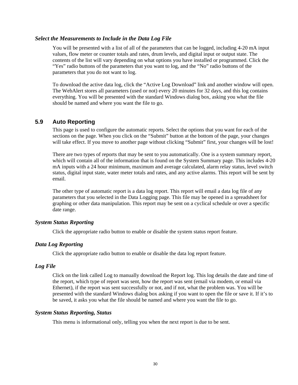#### *Select the Measurements to Include in the Data Log File*

You will be presented with a list of all of the parameters that can be logged, including 4-20 mA input values, flow meter or counter totals and rates, drum levels, and digital input or output state. The contents of the list will vary depending on what options you have installed or programmed. Click the "Yes" radio buttons of the parameters that you want to log, and the "No" radio buttons of the parameters that you do not want to log.

To download the active data log, click the "Active Log Download" link and another window will open. The WebAlert stores all parameters (used or not) every 20 minutes for 32 days, and this log contains everything. You will be presented with the standard Windows dialog box, asking you what the file should be named and where you want the file to go.

#### **5.9 Auto Reporting**

This page is used to configure the automatic reports. Select the options that you want for each of the sections on the page. When you click on the "Submit" button at the bottom of the page, your changes will take effect. If you move to another page without clicking "Submit" first, your changes will be lost!

There are two types of reports that may be sent to you automatically. One is a system summary report, which will contain all of the information that is found on the System Summary page. This includes 4-20 mA inputs with a 24 hour minimum, maximum and average calculated, alarm relay status, level switch status, digital input state, water meter totals and rates, and any active alarms. This report will be sent by email.

The other type of automatic report is a data log report. This report will email a data log file of any parameters that you selected in the Data Logging page. This file may be opened in a spreadsheet for graphing or other data manipulation. This report may be sent on a cyclical schedule or over a specific date range.

#### *System Status Reporting*

Click the appropriate radio button to enable or disable the system status report feature.

#### *Data Log Reporting*

Click the appropriate radio button to enable or disable the data log report feature.

#### *Log File*

Click on the link called Log to manually download the Report log. This log details the date and time of the report, which type of report was sent, how the report was sent (email via modem, or email via Ethernet), if the report was sent successfully or not, and if not, what the problem was. You will be presented with the standard Windows dialog box asking if you want to open the file or save it. If it's to be saved, it asks you what the file should be named and where you want the file to go.

#### *System Status Reporting, Status*

This menu is informational only, telling you when the next report is due to be sent.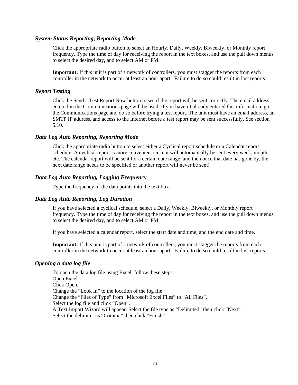#### *System Status Reporting, Reporting Mode*

Click the appropriate radio button to select an Hourly, Daily, Weekly, Biweekly, or Monthly report frequency. Type the time of day for receiving the report in the text boxes, and use the pull down menus to select the desired day, and to select AM or PM.

**Important:** If this unit is part of a network of controllers, you must stagger the reports from each controller in the network to occur at least an hour apart. Failure to do so could result in lost reports!

#### *Report Testing*

Click the Send a Test Report Now button to see if the report will be sent correctly. The email address entered in the Communications page will be used. If you haven't already entered this information, go the Communications page and do so before trying a test report. The unit must have an email address, an SMTP IP address, and access to the Internet before a test report may be sent successfully. See section 5.10.

#### *Data Log Auto Reporting, Reporting Mode*

Click the appropriate radio button to select either a Cyclical report schedule or a Calendar report schedule. A cyclical report is more convenient since it will automatically be sent every week, month, etc. The calendar report will be sent for a certain date range, and then once that date has gone by, the next date range needs to be specified or another report will never be sent!

#### *Data Log Auto Reporting, Logging Frequency*

Type the frequency of the data points into the text box.

#### *Data Log Auto Reporting, Log Duration*

If you have selected a cyclical schedule, select a Daily, Weekly, Biweekly, or Monthly report frequency. Type the time of day for receiving the report in the text boxes, and use the pull down menus to select the desired day, and to select AM or PM.

If you have selected a calendar report, select the start date and time, and the end date and time.

**Important:** If this unit is part of a network of controllers, you must stagger the reports from each controller in the network to occur at least an hour apart. Failure to do so could result in lost reports!

#### *Opening a data log file*

To open the data log file using Excel, follow these steps: Open Excel. Click Open. Change the "Look In" to the location of the log file. Change the "Files of Type" from "Microsoft Excel Files" to "All Files". Select the log file and click "Open". A Text Import Wizard will appear. Select the file type as "Delimited" then click "Next". Select the delimiter as "Comma" then click "Finish".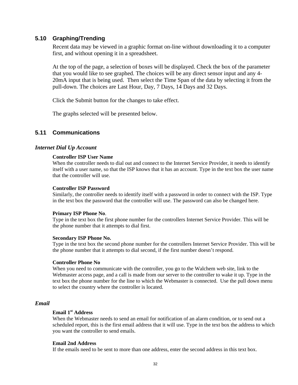#### **5.10 Graphing/Trending**

Recent data may be viewed in a graphic format on-line without downloading it to a computer first, and without opening it in a spreadsheet.

At the top of the page, a selection of boxes will be displayed. Check the box of the parameter that you would like to see graphed. The choices will be any direct sensor input and any 4- 20mA input that is being used. Then select the Time Span of the data by selecting it from the pull-down. The choices are Last Hour, Day, 7 Days, 14 Days and 32 Days.

Click the Submit button for the changes to take effect.

The graphs selected will be presented below.

#### **5.11 Communications**

#### *Internet Dial Up Account*

#### **Controller ISP User Name**

When the controller needs to dial out and connect to the Internet Service Provider, it needs to identify itself with a user name, so that the ISP knows that it has an account. Type in the text box the user name that the controller will use.

#### **Controller ISP Password**

Similarly, the controller needs to identify itself with a password in order to connect with the ISP. Type in the text box the password that the controller will use. The password can also be changed here.

#### **Primary ISP Phone No**.

Type in the text box the first phone number for the controllers Internet Service Provider. This will be the phone number that it attempts to dial first.

#### **Secondary ISP Phone No.**

Type in the text box the second phone number for the controllers Internet Service Provider. This will be the phone number that it attempts to dial second, if the first number doesn't respond.

#### **Controller Phone No**

When you need to communicate with the controller, you go to the Walchem web site, link to the Webmaster access page, and a call is made from our server to the controller to wake it up. Type in the text box the phone number for the line to which the Webmaster is connected. Use the pull down menu to select the country where the controller is located.

#### *Email*

#### **Email 1st Address**

When the Webmaster needs to send an email for notification of an alarm condition, or to send out a scheduled report, this is the first email address that it will use. Type in the text box the address to which you want the controller to send emails.

#### **Email 2nd Address**

If the emails need to be sent to more than one address, enter the second address in this text box.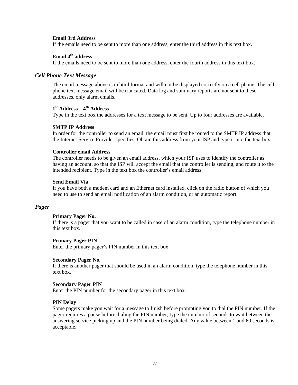#### **Email 3rd Address**

If the emails need to be sent to more than one address, enter the third address in this text box.

#### **Email 4th address**

If the emails need to be sent to more than one address, enter the fourth address in this text box.

#### *Cell Phone Text Message*

The email message above is in html format and will not be displayed correctly on a cell phone. The cell phone text message email will be truncated. Data log and summary reports are not sent to these addresses, only alarm emails.

#### **1st Address – 4th Address**

Type in the text box the addresses for a text message to be sent. Up to four addresses are available.

#### **SMTP IP Address**

In order for the controller to send an email, the email must first be routed to the SMTP IP address that the Internet Service Provider specifies. Obtain this address from your ISP and type it into the text box.

#### **Controller email Address**

The controller needs to be given an email address, which your ISP uses to identify the controller as having an account, so that the ISP will accept the email that the controller is sending, and route it to the intended recipient. Type in the text box the controller's email address.

#### **Send Email Via**

If you have both a modem card and an Ethernet card installed, click on the radio button of which you need to use to send an email notification of an alarm condition, or an automatic report.

#### *Pager*

#### **Primary Pager No.**

If there is a pager that you want to be called in case of an alarm condition, type the telephone number in this text box.

#### **Primary Pager PIN**

Enter the primary pager's PIN number in this text box.

#### **Secondary Pager No.**

If there is another pager that should be used in an alarm condition, type the telephone number in this text box.

#### **Secondary Pager PIN**

Enter the PIN number for the secondary pager in this text box.

#### **PIN Delay**

Some pagers make you wait for a message to finish before prompting you to dial the PIN number. If the pager requires a pause before dialing the PIN number, type the number of seconds to wait between the answering service picking up and the PIN number being dialed. Any value between 1 and 60 seconds is acceptable.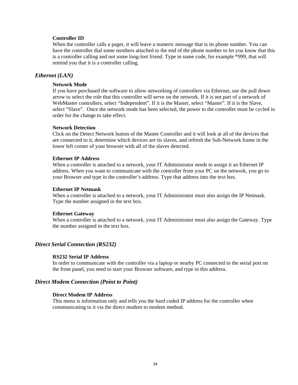#### **Controller ID**

When the controller calls a pager, it will leave a numeric message that is its phone number. You can have the controller dial some numbers attached to the end of the phone number to let you know that this is a controller calling and not some long-lost friend. Type in some code, for example \*999, that will remind you that it is a controller calling.

#### *Ethernet (LAN)*

#### **Network Mode**

If you have purchased the software to allow networking of controllers via Ethernet, use the pull down arrow to select the role that this controller will serve on the network. If it is not part of a network of WebMaster controllers, select "Independent". If it is the Master, select "Master". If it is the Slave, select "Slave". Once the network mode has been selected, the power to the controller must be cycled in order for the change to take effect.

#### **Network Detection**

Click on the Detect Network button of the Master Controller and it will look at all of the devices that are connected to it, determine which devices are its slaves, and refresh the Sub-Network frame in the lower left corner of your browser with all of the slaves detected.

#### **Ethernet IP Address**

When a controller is attached to a network, your IT Administrator needs to assign it an Ethernet IP address. When you want to communicate with the controller from your PC on the network, you go to your Browser and type in the controller's address. Type that address into the text box.

#### **Ethernet IP Netmask**

When a controller is attached to a network, your IT Administrator must also assign the IP Netmask. Type the number assigned in the text box.

#### **Ethernet Gateway**

When a controller is attached to a network, your IT Administrator must also assign the Gateway. Type the number assigned in the text box.

#### *Direct Serial Connection (RS232)*

#### **RS232 Serial IP Address**

In order to communicate with the controller via a laptop or nearby PC connected to the serial port on the front panel, you need to start your Browser software, and type in this address.

#### *Direct Modem Connection (Point to Point)*

#### **Direct Modem IP Address**

This menu is information only and tells you the hard coded IP address for the controller when communicating to it via the direct modem to modem method.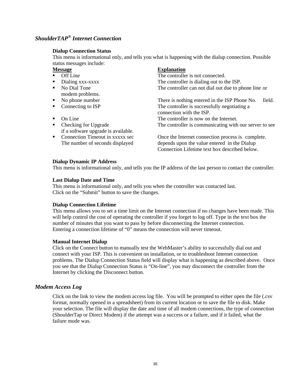## *ShoulderTAP® Internet Connection*

#### **Dialup Connection Status**

This menu is informational only, and tells you what is happening with the dialup connection. Possible status messages include:

- Off Line
- Dialing xxx-xxxx
- No Dial Tone modem problems.
- No phone number
- Connecting to ISP
- $\blacksquare$  On Line
- Checking for Upgrade if a software upgrade is available.
- Connection Timeout in xxxxx sec

#### **Message Explanation**

The controller is not connected. The controller is dialing out to the ISP. The controller can not dial out due to phone line or

There is nothing entered in the ISP Phone No. field. The controller is successfully negotiating a connection with the ISP. The controller is now on the Internet. The controller is communicating with our server to see

Once the Internet connection process is complete. The number of seconds displayed depends upon the value entered in the Dialup Connection Lifetime text box described below.

#### **Dialup Dynamic IP Address**

This menu is informational only, and tells you the IP address of the last person to contact the controller.

#### **Last Dialup Date and Time**

This menu is informational only, and tells you when the controller was contacted last. Click on the "Submit" button to save the changes.

#### **Dialup Connection Lifetime**

This menu allows you to set a time limit on the Internet connection if no changes have been made. This will help control the cost of operating the controller if you forget to log off. Type in the text box the number of minutes that you want to pass by before disconnecting the Internet connection. Entering a connection lifetime of "0" means the connection will never timeout.

#### **Manual Internet Dialup**

Click on the Connect button to manually test the WebMaster's ability to successfully dial out and connect with your ISP. This is convenient on installation, or to troubleshoot Internet connection problems. The Dialup Connection Status field will display what is happening as described above. Once you see that the Dialup Connection Status is "On-line", you may disconnect the controller from the Internet by clicking the Disconnect button.

#### *Modem Access Log*

Click on the link to view the modem access log file. You will be prompted to either open the file (.csv format, normally opened in a spreadsheet) from its current location or to save the file to disk. Make your selection. The file will display the date and time of all modem connections, the type of connection (ShoulderTap or Direct Modem) if the attempt was a success or a failure, and if it failed, what the failure mode was.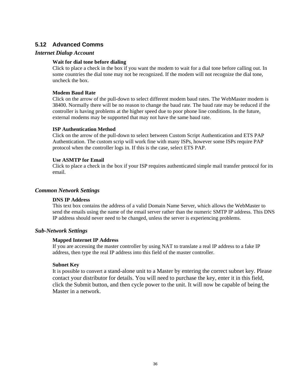## **5.12 Advanced Comms**

#### *Internet Dialup Account*

#### **Wait for dial tone before dialing**

Click to place a check in the box if you want the modem to wait for a dial tone before calling out. In some countries the dial tone may not be recognized. If the modem will not recognize the dial tone, uncheck the box.

#### **Modem Baud Rate**

Click on the arrow of the pull-down to select different modem baud rates. The WebMaster modem is 38400. Normally there will be no reason to change the baud rate. The baud rate may be reduced if the controller is having problems at the higher speed due to poor phone line conditions. In the future, external modems may be supported that may not have the same baud rate.

#### **ISP Authentication Method**

Click on the arrow of the pull-down to select between Custom Script Authentication and ETS PAP Authentication. The custom scrip will work fine with many ISPs, however some ISPs require PAP protocol when the controller logs in. If this is the case, select ETS PAP.

#### **Use ASMTP for Email**

Click to place a check in the box if your ISP requires authenticated simple mail transfer protocol for its email.

#### *Common Network Settings*

#### **DNS IP Address**

This text box contains the address of a valid Domain Name Server, which allows the WebMaster to send the emails using the name of the email server rather than the numeric SMTP IP address. This DNS IP address should never need to be changed, unless the server is experiencing problems.

#### *Sub-Network Settings*

#### **Mapped Internet IP Address**

If you are accessing the master controller by using NAT to translate a real IP address to a fake IP address, then type the real IP address into this field of the master controller.

#### **Subnet Key**

It is possible to convert a stand-alone unit to a Master by entering the correct subnet key. Please contact your distributor for details. You will need to purchase the key, enter it in this field, click the Submit button, and then cycle power to the unit. It will now be capable of being the Master in a network.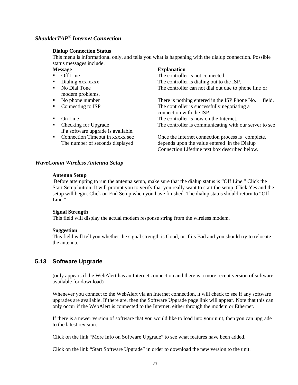# *ShoulderTAP® Internet Connection*

#### **Dialup Connection Status**

This menu is informational only, and tells you what is happening with the dialup connection. Possible status messages include:

- Off Line
- Dialing xxx-xxxx
- No Dial Tone modem problems.
- No phone number
- Connecting to ISP
- $\blacksquare$  On Line
- Checking for Upgrade if a software upgrade is available.
- Connection Timeout in xxxxx sec

#### **Message Explanation**

The controller is not connected. The controller is dialing out to the ISP. The controller can not dial out due to phone line or

There is nothing entered in the ISP Phone No. field. The controller is successfully negotiating a connection with the ISP. The controller is now on the Internet. The controller is communicating with our server to see

Once the Internet connection process is complete. The number of seconds displayed depends upon the value entered in the Dialup Connection Lifetime text box described below.

#### *WaveComm Wireless Antenna Setup*

#### **Antenna Setup**

 Before attempting to run the antenna setup, make sure that the dialup status is "Off Line." Click the Start Setup button. It will prompt you to verify that you really want to start the setup. Click Yes and the setup will begin. Click on End Setup when you have finished. The dialup status should return to "Off Line."

#### **Signal Strength**

This field will display the actual modem response string from the wireless modem.

#### **Suggestion**

This field will tell you whether the signal strength is Good, or if its Bad and you should try to relocate the antenna.

#### **5.13 Software Upgrade**

(only appears if the WebAlert has an Internet connection and there is a more recent version of software available for download)

Whenever you connect to the WebAlert via an Internet connection, it will check to see if any software upgrades are available. If there are, then the Software Upgrade page link will appear. Note that this can only occur if the WebAlert is connected to the Internet, either through the modem or Ethernet.

If there is a newer version of software that you would like to load into your unit, then you can upgrade to the latest revision.

Click on the link "More Info on Software Upgrade" to see what features have been added.

Click on the link "Start Software Upgrade" in order to download the new version to the unit.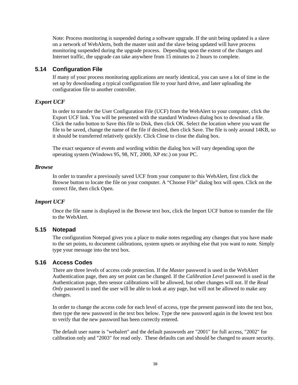Note: Process monitoring is suspended during a software upgrade. If the unit being updated is a slave on a network of WebAlerts, both the master unit and the slave being updated will have process monitoring suspended during the upgrade process. Depending upon the extent of the changes and Internet traffic, the upgrade can take anywhere from 15 minutes to 2 hours to complete.

#### **5.14 Configuration File**

If many of your process monitoring applications are nearly identical, you can save a lot of time in the set up by downloading a typical configuration file to your hard drive, and later uploading the configuration file to another controller.

#### *Export UCF*

In order to transfer the User Configuration File (UCF) from the WebAlert to your computer, click the Export UCF link. You will be presented with the standard Windows dialog box to download a file. Click the radio button to Save this file to Disk, then click OK. Select the location where you want the file to be saved, change the name of the file if desired, then click Save. The file is only around 14KB, so it should be transferred relatively quickly. Click Close to close the dialog box.

The exact sequence of events and wording within the dialog box will vary depending upon the operating system (Windows 95, 98, NT, 2000, XP etc.) on your PC.

#### *Browse*

In order to transfer a previously saved UCF from your computer to this WebAlert, first click the Browse button to locate the file on your computer. A "Choose File" dialog box will open. Click on the correct file, then click Open.

#### *Import UCF*

Once the file name is displayed in the Browse text box, click the Import UCF button to transfer the file to the WebAlert.

#### **5.15 Notepad**

The configuration Notepad gives you a place to make notes regarding any changes that you have made to the set points, to document calibrations, system upsets or anything else that you want to note. Simply type your message into the text box.

#### **5.16 Access Codes**

There are three levels of access code protection. If the *Master* password is used in the WebAlert Authentication page, then any set point can be changed. If the *Calibration Level* password is used in the Authentication page, then sensor calibrations will be allowed, but other changes will not. If the *Read Only* password is used the user will be able to look at any page, but will not be allowed to make any changes.

In order to change the access code for each level of access, type the present password into the text box, then type the new password in the text box below. Type the new password again in the lowest text box to verify that the new password has been correctly entered.

The default user name is "webalert" and the default passwords are "2001" for full access, "2002" for calibration only and "2003" for read only. These defaults can and should be changed to assure security.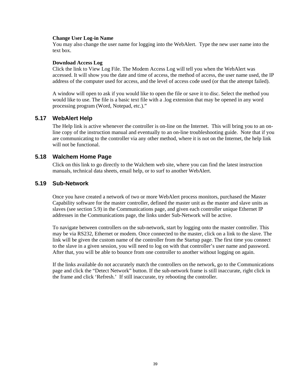#### **Change User Log-in Name**

You may also change the user name for logging into the WebAlert. Type the new user name into the text box.

#### **Download Access Log**

Click the link to View Log File. The Modem Access Log will tell you when the WebAlert was accessed. It will show you the date and time of access, the method of access, the user name used, the IP address of the computer used for access, and the level of access code used (or that the attempt failed).

A window will open to ask if you would like to open the file or save it to disc. Select the method you would like to use. The file is a basic text file with a .log extension that may be opened in any word processing program (Word, Notepad, etc.)."

#### **5.17 WebAlert Help**

The Help link is active whenever the controller is on-line on the Internet. This will bring you to an online copy of the instruction manual and eventually to an on-line troubleshooting guide. Note that if you are communicating to the controller via any other method, where it is not on the Internet, the help link will not be functional.

#### **5.18 Walchem Home Page**

Click on this link to go directly to the Walchem web site, where you can find the latest instruction manuals, technical data sheets, email help, or to surf to another WebAlert.

#### **5.19 Sub-Network**

Once you have created a network of two or more WebAlert process monitors, purchased the Master Capability software for the master controller, defined the master unit as the master and slave units as slaves (see section 5.9) in the Communications page, and given each controller unique Ethernet IP addresses in the Communications page, the links under Sub-Network will be active.

To navigate between controllers on the sub-network, start by logging onto the master controller. This may be via RS232, Ethernet or modem. Once connected to the master, click on a link to the slave. The link will be given the custom name of the controller from the Startup page. The first time you connect to the slave in a given session, you will need to log on with that controller's user name and password. After that, you will be able to bounce from one controller to another without logging on again.

If the links available do not accurately match the controllers on the network, go to the Communications page and click the "Detect Network" button. If the sub-network frame is still inaccurate, right click in the frame and click 'Refresh.' If still inaccurate, try rebooting the controller.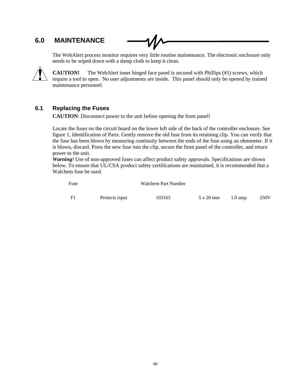# **6.0 MAINTENANCE**

The WebAlert process monitor requires very little routine maintenance. The electronic enclosure only needs to be wiped down with a damp cloth to keep it clean.



**CAUTION!** The WebAlert inner hinged face panel is secured with Phillips (#1) screws, which require a tool to open. No user adjustments are inside. This panel should only be opened by trained maintenance personnel.

## **6.1 Replacing the Fuses**

**CAUTION**: Disconnect power to the unit before opening the front panel!

Locate the fuses on the circuit board on the lower left side of the back of the controller enclosure. See figure 1, Identification of Parts. Gently remove the old fuse from its retaining clip. You can verify that the fuse has been blown by measuring continuity between the ends of the fuse using an ohmmeter. If it is blown, discard. Press the new fuse into the clip, secure the front panel of the controller, and return power to the unit.

*Warning!* Use of non-approved fuses can affect product safety approvals. Specifications are shown below. To ensure that UL/CSA product safety certifications are maintained, it is recommended that a Walchem fuse be used.

| Fuse |                | Walchem Part Number |           |                   |      |
|------|----------------|---------------------|-----------|-------------------|------|
| F1   | Protects input | 103163              | 5 x 20 mm | $1.0 \text{ amp}$ | 250V |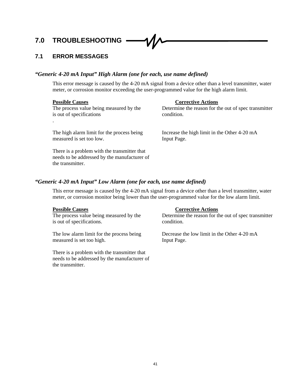# **7.0 TROUBLESHOOTING**

#### **7.1 ERROR MESSAGES**

#### *"Generic 4-20 mA Input" High Alarm (one for each, use name defined)*

This error message is caused by the 4-20 mA signal from a device other than a level transmitter, water meter, or corrosion monitor exceeding the user-programmed value for the high alarm limit.

| <b>Possible Causes</b><br>The process value being measured by the<br>is out of specifications                    | <b>Corrective Actions</b><br>Determine the reason for the out of spec transmitter<br>condition. |
|------------------------------------------------------------------------------------------------------------------|-------------------------------------------------------------------------------------------------|
| $\bullet$<br>The high alarm limit for the process being<br>measured is set too low.                              | Increase the high limit in the Other 4-20 mA<br>Input Page.                                     |
| There is a problem with the transmitter that<br>needs to be addressed by the manufacturer of<br>the transmitter. |                                                                                                 |

#### *"Generic 4-20 mA Input" Low Alarm (one for each, use name defined)*

This error message is caused by the 4-20 mA signal from a device other than a level transmitter, water meter, or corrosion monitor being lower than the user-programmed value for the low alarm limit.

**Possible Causes**<br>The process value being measured by the Determine the reason for the Determine of the Determine the reason for the Determine of the Determine of the Determine of the Determine of the Determine of the Post is out of specifications. condition.

measured is set too high. Input Page.

There is a problem with the transmitter that needs to be addressed by the manufacturer of the transmitter.

Determine the reason for the out of spec transmitter

The low alarm limit for the process being Decrease the low limit in the Other 4-20 mA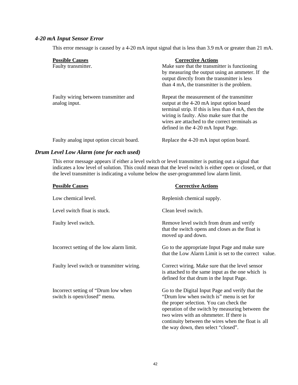## *4-20 mA Input Sensor Error*

This error message is caused by a 4-20 mA input signal that is less than 3.9 mA or greater than 21 mA.

| <b>Possible Causes</b><br>Faulty transmitter.          | <b>Corrective Actions</b><br>Make sure that the transmitter is functioning<br>by measuring the output using an ammeter. If the                                                                                                                                                    |
|--------------------------------------------------------|-----------------------------------------------------------------------------------------------------------------------------------------------------------------------------------------------------------------------------------------------------------------------------------|
|                                                        | output directly from the transmitter is less<br>than 4 mA, the transmitter is the problem.                                                                                                                                                                                        |
| Faulty wiring between transmitter and<br>analog input. | Repeat the measurement of the transmitter<br>output at the 4-20 mA input option board<br>terminal strip. If this is less than 4 mA, then the<br>wiring is faulty. Also make sure that the<br>wires are attached to the correct terminals as<br>defined in the 4-20 mA Input Page. |
| Faulty analog input option circuit board.              | Replace the 4-20 mA input option board.                                                                                                                                                                                                                                           |

#### *Drum Level Low Alarm (one for each used)*

This error message appears if either a level switch or level transmitter is putting out a signal that indicates a low level of solution. This could mean that the level switch is either open or closed, or that the level transmitter is indicating a volume below the user-programmed low alarm limit.

| <b>Possible Causes</b>                                              | <b>Corrective Actions</b>                                                                                                                                                                                                                                                                                                            |
|---------------------------------------------------------------------|--------------------------------------------------------------------------------------------------------------------------------------------------------------------------------------------------------------------------------------------------------------------------------------------------------------------------------------|
| Low chemical level.                                                 | Replenish chemical supply.                                                                                                                                                                                                                                                                                                           |
| Level switch float is stuck.                                        | Clean level switch.                                                                                                                                                                                                                                                                                                                  |
| Faulty level switch.                                                | Remove level switch from drum and verify<br>that the switch opens and closes as the float is<br>moved up and down.                                                                                                                                                                                                                   |
| Incorrect setting of the low alarm limit.                           | Go to the appropriate Input Page and make sure<br>that the Low Alarm Limit is set to the correct value.                                                                                                                                                                                                                              |
| Faulty level switch or transmitter wiring.                          | Correct wiring. Make sure that the level sensor<br>is attached to the same input as the one which is<br>defined for that drum in the Input Page.                                                                                                                                                                                     |
| Incorrect setting of "Drum low when<br>switch is open/closed" menu. | Go to the Digital Input Page and verify that the<br>"Drum low when switch is" menu is set for<br>the proper selection. You can check the<br>operation of the switch by measuring between the<br>two wires with an ohmmeter. If there is<br>continuity between the wires when the float is all<br>the way down, then select "closed". |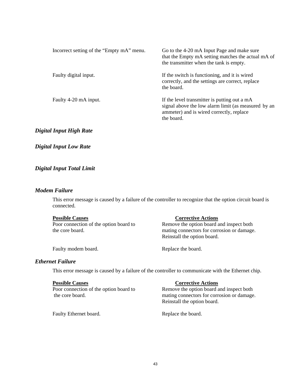| Incorrect setting of the "Empty mA" menu. | Go to the 4-20 mA Input Page and make sure<br>that the Empty mA setting matches the actual mA of<br>the transmitter when the tank is empty.                   |
|-------------------------------------------|---------------------------------------------------------------------------------------------------------------------------------------------------------------|
| Faulty digital input.                     | If the switch is functioning, and it is wired<br>correctly, and the settings are correct, replace<br>the board.                                               |
| Faulty 4-20 mA input.                     | If the level transmitter is putting out a mA<br>signal above the low alarm limit (as measured by an<br>ammeter) and is wired correctly, replace<br>the board. |

#### *Digital Input High Rate*

#### *Digital Input Low Rate*

#### *Digital Input Total Limit*

#### *Modem Failure*

This error message is caused by a failure of the controller to recognize that the option circuit board is connected.

#### **Possible Causes** Corrective Actions

Poor connection of the option board to Remove the option board and inspect both the core board. mating connectors for corrosion or damage. Reinstall the option board.

Faulty modem board. Replace the board.

#### *Ethernet Failure*

This error message is caused by a failure of the controller to communicate with the Ethernet chip.

**Possible Causes**<br>Poor connection of the option board to<br>Remove the option board a

Remove the option board and inspect both the core board. mating connectors for corrosion or damage. Reinstall the option board.

Faulty Ethernet board. Replace the board.